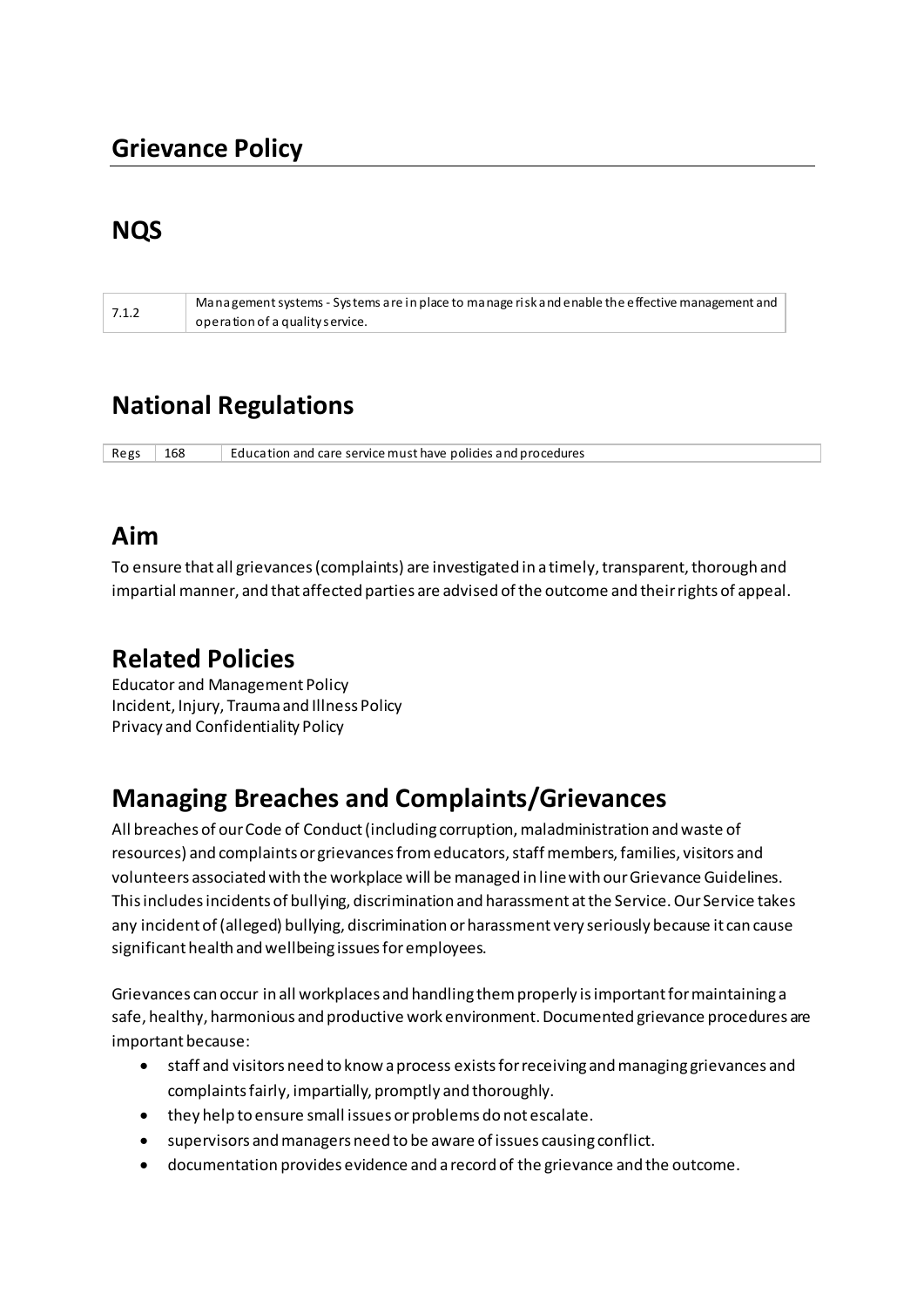## **Grievance Policy**

### **NQS**

| 7.1.2 | Management systems - Systems are in place to manage risk and enable the effective management and |
|-------|--------------------------------------------------------------------------------------------------|
|       | operation of a quality service.                                                                  |

# **National Regulations**

Regs 168 Education and care service must have policies and procedures

# **Aim**

To ensure that all grievances (complaints) are investigated in a timely, transparent, thorough and impartial manner, and that affected parties are advised of the outcome and their rights of appeal.

### **Related Policies**

Educator and Management Policy Incident, Injury, Trauma and Illness Policy Privacy and Confidentiality Policy

# **Managing Breaches and Complaints/Grievances**

All breaches of our Code of Conduct (including corruption, maladministration and waste of resources) and complaints or grievances from educators, staff members, families, visitors and volunteers associated with the workplace will be managed in line with our Grievance Guidelines. This includes incidents of bullying, discrimination and harassment at the Service. Our Service takes any incident of (alleged) bullying, discrimination or harassment very seriously because it can cause significant health and wellbeing issues for employees.

Grievances can occur in all workplaces and handling them properly is important for maintaining a safe, healthy, harmonious and productive work environment. Documented grievance procedures are important because:

- staff and visitors need to know a process exists for receiving and managing grievances and complaints fairly, impartially, promptly and thoroughly.
- they help to ensure small issues or problems do not escalate.
- supervisors and managers need to be aware of issues causing conflict.
- documentation provides evidence and a record of the grievance and the outcome.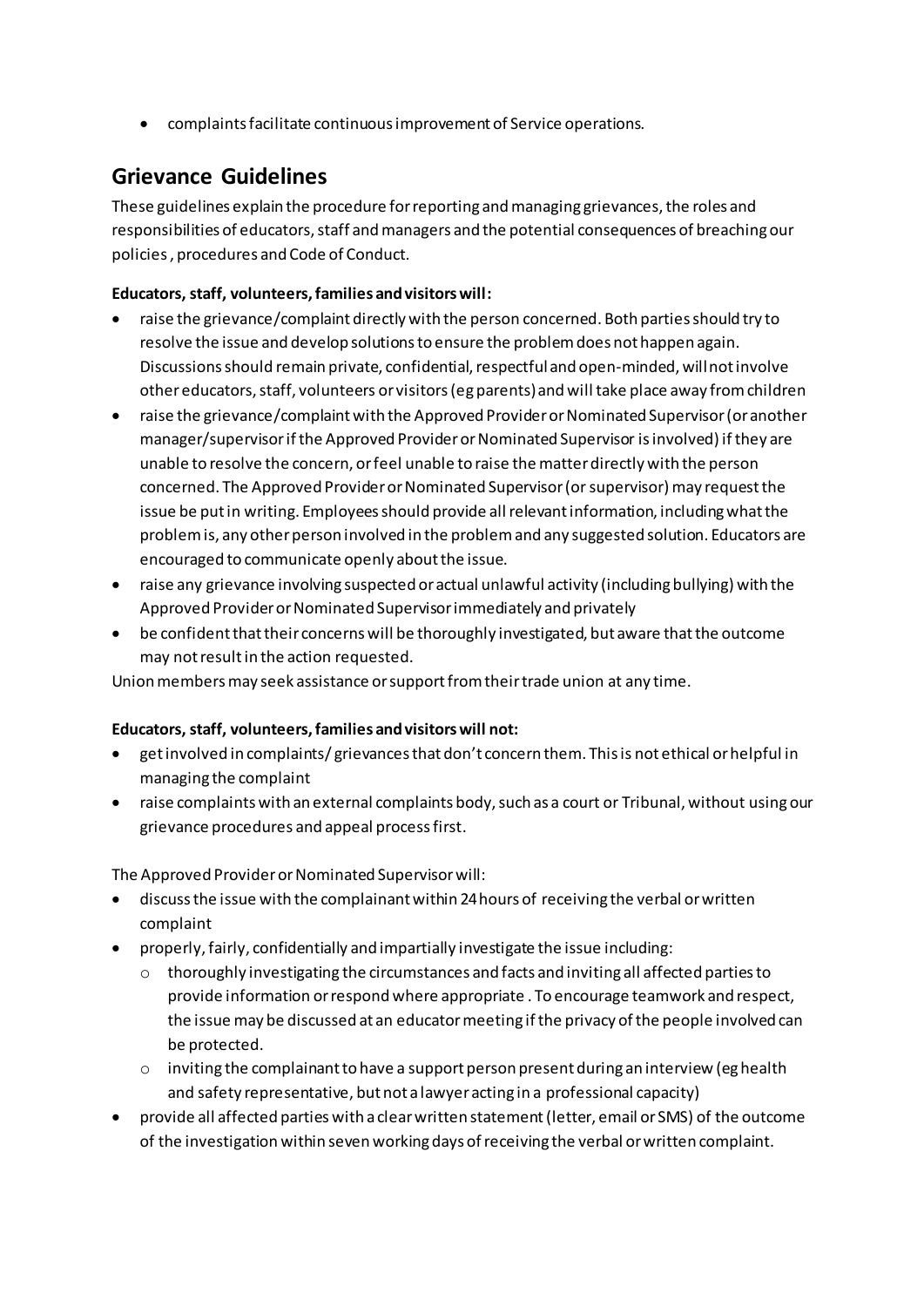• complaints facilitate continuous improvement of Service operations.

### **Grievance Guidelines**

These guidelines explain the procedure for reporting and managing grievances, the roles and responsibilities of educators, staff and managers and the potential consequences of breaching our policies , procedures and Code of Conduct.

#### **Educators, staff, volunteers, families and visitors will:**

- raise the grievance/complaint directly with the person concerned. Both parties should try to resolve the issue and develop solutions to ensure the problem does not happen again. Discussions should remain private, confidential, respectful and open-minded, will not involve other educators, staff, volunteers or visitors (eg parents) and will take place away from children
- raise the grievance/complaint with the Approved Provider or Nominated Supervisor (or another manager/supervisor if the Approved Provider or Nominated Supervisor is involved) if they are unable to resolve the concern, or feel unable to raise the matter directly with the person concerned. The Approved Provider or Nominated Supervisor (or supervisor) may request the issue be put in writing. Employees should provide all relevant information, including what the problem is, any other person involved in the problem and any suggested solution. Educators are encouraged to communicate openly about the issue.
- raise any grievance involving suspected or actual unlawful activity (including bullying) with the Approved Provider or Nominated Supervisor immediately and privately
- be confident that their concerns will be thoroughly investigated, but aware that the outcome may not result in the action requested.

Union members may seek assistance or support from their trade union at any time.

#### **Educators, staff, volunteers, families and visitors will not:**

- get involved in complaints/ grievances that don't concern them. This is not ethical or helpful in managing the complaint
- raise complaints with an external complaints body, such as a court or Tribunal, without using our grievance procedures and appeal process first.

The Approved Provider or Nominated Supervisor will:

- discuss the issue with the complainant within 24 hours of receiving the verbal or written complaint
- properly, fairly, confidentially and impartially investigate the issue including:
	- $\circ$  thoroughly investigating the circumstances and facts and inviting all affected parties to provide information or respond where appropriate . To encourage teamwork and respect, the issue may be discussed at an educator meeting if the privacy of the people involved can be protected.
	- $\circ$  inviting the complainant to have a support person present during an interview (eg health and safety representative, but not a lawyer acting in a professional capacity)
- provide all affected parties with a clear written statement (letter, email or SMS) of the outcome of the investigation within seven working days of receiving the verbal or written complaint.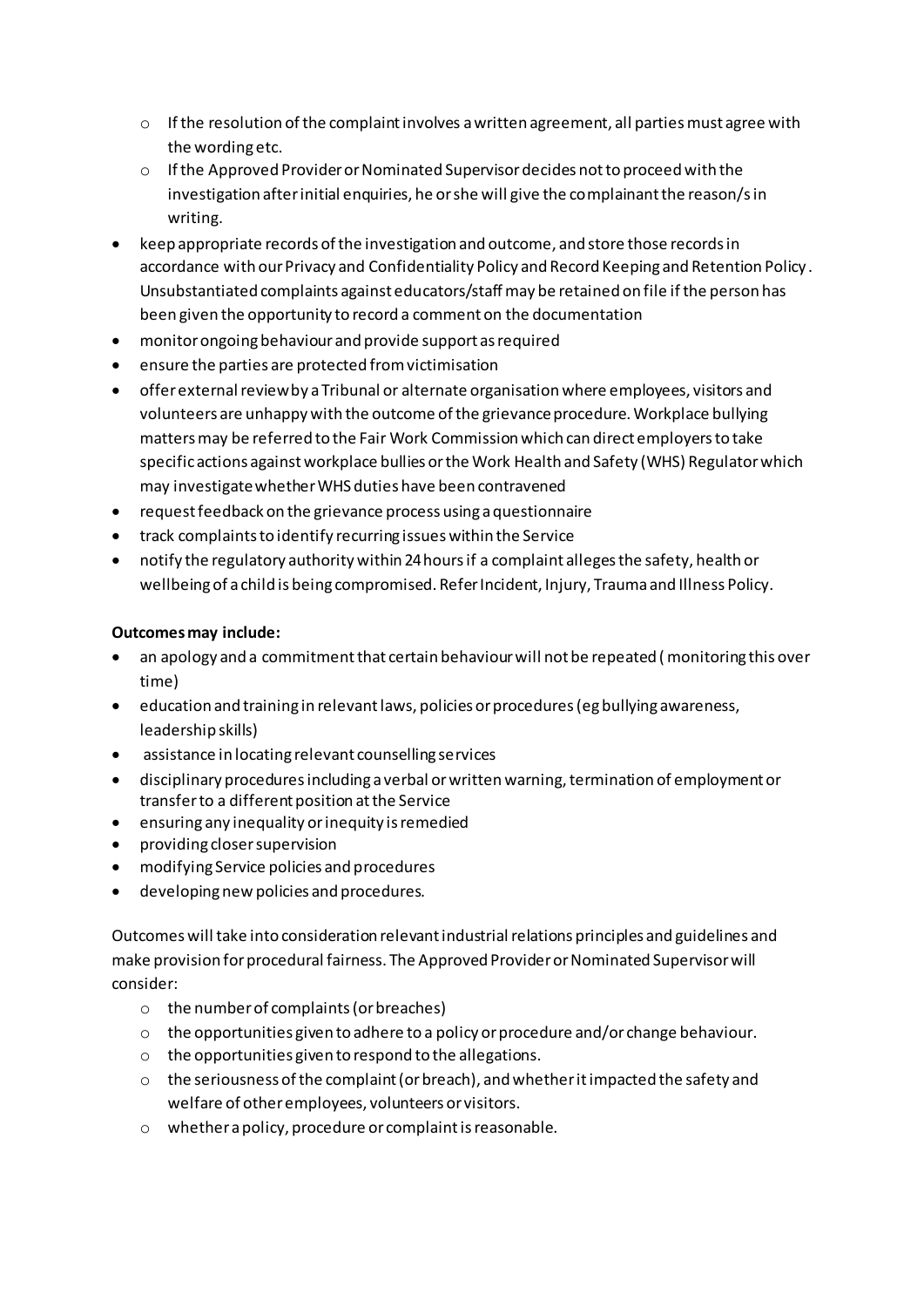- o If the resolution of the complaint involves a written agreement, all parties must agree with the wording etc.
- o If the Approved Provider or Nominated Supervisor decides not to proceed with the investigation after initial enquiries, he or she will give the complainant the reason/s in writing.
- keep appropriate records of the investigation and outcome, and store those records in accordance with our Privacy and Confidentiality Policy and Record Keeping and Retention Policy . Unsubstantiated complaints against educators/staff may be retained on file if the person has been given the opportunity to record a comment on the documentation
- monitor ongoing behaviour and provide support as required
- ensure the parties are protected from victimisation
- offer external review by a Tribunal or alternate organisation where employees, visitors and volunteers are unhappy with the outcome of the grievance procedure. Workplace bullying matters may be referred to the Fair Work Commission which can direct employers to take specific actions against workplace bullies or the Work Health and Safety (WHS) Regulator which may investigate whether WHS duties have been contravened
- request feedback on the grievance process using a questionnaire
- track complaints to identify recurring issues within the Service
- notify the regulatory authority within 24 hours if a complaint alleges the safety, health or wellbeing of a child is being compromised. Refer Incident, Injury, Trauma and Illness Policy.

#### **Outcomes may include:**

- an apology and a commitment that certain behaviour will not be repeated ( monitoring this over time)
- education and training in relevant laws, policies or procedures (eg bullying awareness, leadership skills)
- assistance in locating relevant counselling services
- disciplinary procedures including a verbal or written warning, termination of employment or transfer to a different position at the Service
- ensuring any inequality or inequity is remedied
- providing closer supervision
- modifying Service policies and procedures
- developing new policies and procedures.

Outcomes will take into consideration relevant industrial relations principles and guidelines and make provision for procedural fairness. The Approved Provider or Nominated Supervisor will consider:

- o the number of complaints (or breaches)
- $\circ$  the opportunities given to adhere to a policy or procedure and/or change behaviour.
- o the opportunities given to respond to the allegations.
- $\circ$  the seriousness of the complaint (or breach), and whether it impacted the safety and welfare of other employees, volunteers or visitors.
- o whether a policy, procedure or complaint is reasonable.